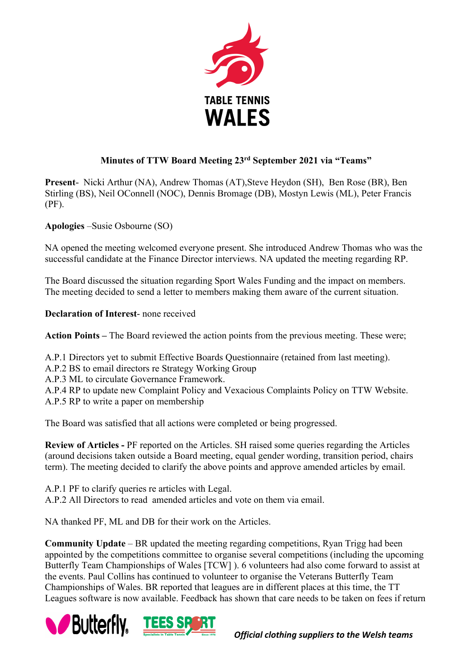

## **Minutes of TTW Board Meeting 23rd September 2021 via "Teams"**

**Present-** Nicki Arthur (NA), Andrew Thomas (AT),Steve Heydon (SH), Ben Rose (BR), Ben Stirling (BS), Neil OConnell (NOC), Dennis Bromage (DB), Mostyn Lewis (ML), Peter Francis (PF).

**Apologies** –Susie Osbourne (SO)

NA opened the meeting welcomed everyone present. She introduced Andrew Thomas who was the successful candidate at the Finance Director interviews. NA updated the meeting regarding RP.

The Board discussed the situation regarding Sport Wales Funding and the impact on members. The meeting decided to send a letter to members making them aware of the current situation.

**Declaration of Interest**- none received

**Action Points –** The Board reviewed the action points from the previous meeting. These were;

A.P.1 Directors yet to submit Effective Boards Questionnaire (retained from last meeting).

A.P.2 BS to email directors re Strategy Working Group

A.P.3 ML to circulate Governance Framework.

A.P.4 RP to update new Complaint Policy and Vexacious Complaints Policy on TTW Website. A.P.5 RP to write a paper on membership

The Board was satisfied that all actions were completed or being progressed.

**Review of Articles -** PF reported on the Articles. SH raised some queries regarding the Articles (around decisions taken outside a Board meeting, equal gender wording, transition period, chairs term). The meeting decided to clarify the above points and approve amended articles by email.

A.P.1 PF to clarify queries re articles with Legal.

A.P.2 All Directors to read amended articles and vote on them via email.

NA thanked PF, ML and DB for their work on the Articles.

**Community Update** – BR updated the meeting regarding competitions, Ryan Trigg had been appointed by the competitions committee to organise several competitions (including the upcoming Butterfly Team Championships of Wales [TCW] ). 6 volunteers had also come forward to assist at the events. Paul Collins has continued to volunteer to organise the Veterans Butterfly Team Championships of Wales. BR reported that leagues are in different places at this time, the TT Leagues software is now available. Feedback has shown that care needs to be taken on fees if return